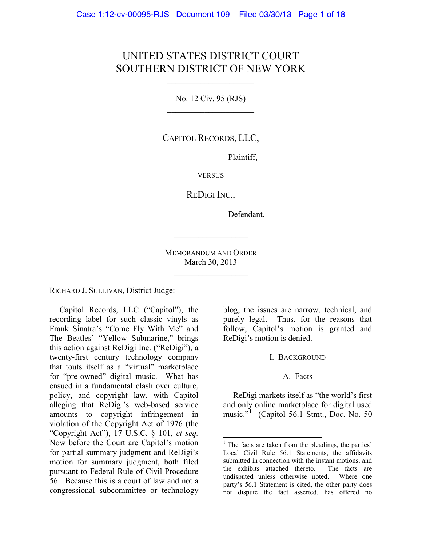# UNITED STATES DISTRICT COURT SOUTHERN DISTRICT OF NEW YORK

 $\mathcal{L}_\text{max}$  , where  $\mathcal{L}_\text{max}$  , we have the set of the set of the set of the set of the set of the set of the set of the set of the set of the set of the set of the set of the set of the set of the set of the set of

No. 12 Civ. 95 (RJS)  $\mathcal{L}_\text{max}$  , where  $\mathcal{L}_\text{max}$  , we have the set of the set of the set of the set of the set of the set of the set of the set of the set of the set of the set of the set of the set of the set of the set of the set of

CAPITOL RECORDS, LLC,

Plaintiff,

**VERSUS** 

REDIGI INC.,

Defendant.

MEMORANDUM AND ORDER March 30, 2013

 $\mathcal{L}_\text{max}$  , where  $\mathcal{L}_\text{max}$ 

 $\mathcal{L}_\text{max}$  , where  $\mathcal{L}_\text{max}$ 

RICHARD J. SULLIVAN, District Judge:

<span id="page-0-0"></span>Capitol Records, LLC ("Capitol"), the recording label for such classic vinyls as Frank Sinatra's "Come Fly With Me" and The Beatles' "Yellow Submarine," brings this action against ReDigi Inc. ("ReDigi"), a twenty-first century technology company that touts itself as a "virtual" marketplace for "pre-owned" digital music. What has ensued in a fundamental clash over culture, policy, and copyright law, with Capitol alleging that ReDigi's web-based service amounts to copyright infringement in violation of the Copyright Act of 1976 (the "Copyright Act"), 17 U.S.C. § 101, *et seq.* Now before the Court are Capitol's motion for partial summary judgment and ReDigi's motion for summary judgment, both filed pursuant to Federal Rule of Civil Procedure 56. Because this is a court of law and not a congressional subcommittee or technology

blog, the issues are narrow, technical, and purely legal. Thus, for the reasons that follow, Capitol's motion is granted and ReDigi's motion is denied.

#### I. BACKGROUND

#### A. Facts

ReDigi markets itself as "the world's first and only online marketplace for digital used music."<sup>[1](#page-0-0)</sup> (Capitol 56.1 Stmt., Doc. No. 50

 $<sup>1</sup>$  The facts are taken from the pleadings, the parties'</sup> Local Civil Rule 56.1 Statements, the affidavits submitted in connection with the instant motions, and the exhibits attached thereto. The facts are undisputed unless otherwise noted. Where one party's 56.1 Statement is cited, the other party does not dispute the fact asserted, has offered no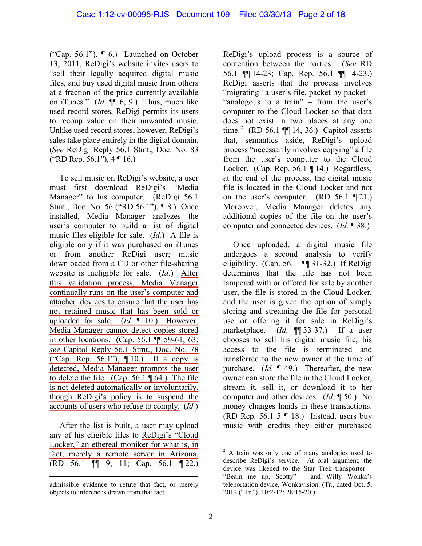("Cap. 56.1"), ¶ 6.) Launched on October 13, 2011, ReDigi's website invites users to "sell their legally acquired digital music files, and buy used digital music from others at a fraction of the price currently available on iTunes." (*Id.* ¶¶ 6, 9.) Thus, much like used record stores, ReDigi permits its users to recoup value on their unwanted music. Unlike used record stores, however, ReDigi's sales take place entirely in the digital domain. (*See* ReDigi Reply 56.1 Stmt., Doc. No. 83 ("RD Rep. 56.1"), 4 ¶ 16.)

To sell music on ReDigi's website, a user must first download ReDigi's "Media Manager" to his computer. (ReDigi 56.1) Stmt., Doc. No. 56 ("RD 56.1"), ¶ 8.) Once installed, Media Manager analyzes the user's computer to build a list of digital music files eligible for sale. (*Id.*) A file is eligible only if it was purchased on iTunes or from another ReDigi user; music downloaded from a CD or other file-sharing website is ineligible for sale. (*Id.*) After this validation process, Media Manager continually runs on the user's computer and attached devices to ensure that the user has not retained music that has been sold or uploaded for sale. (*Id.* ¶ 10.) However, Media Manager cannot detect copies stored in other locations. (Cap. 56.1 ¶¶ 59-61, 63; *see* Capitol Reply 56.1 Stmt., Doc. No. 78 ("Cap. Rep. 56.1"), ¶ 10.) If a copy is detected, Media Manager prompts the user to delete the file. (Cap. 56.1 ¶ 64.) The file is not deleted automatically or involuntarily, though ReDigi's policy is to suspend the accounts of users who refuse to comply. (*Id.*)

After the list is built, a user may upload any of his eligible files to ReDigi's "Cloud Locker," an ethereal moniker for what is, in fact, merely a remote server in Arizona. (RD 56.1 ¶¶ 9, 11; Cap. 56.1 ¶ 22.) ReDigi's upload process is a source of contention between the parties. (*See* RD 56.1 ¶¶ 14-23; Cap. Rep. 56.1 ¶¶ 14-23.) ReDigi asserts that the process involves "migrating" a user's file, packet by packet – "analogous to a train" – from the user's computer to the Cloud Locker so that data does not exist in two places at any one time.<sup>[2](#page-1-0)</sup> (RD 56.1  $\P$  14, 36.) Capitol asserts that, semantics aside, ReDigi's upload process "necessarily involves copying" a file from the user's computer to the Cloud Locker. (Cap. Rep. 56.1 ¶ 14.) Regardless, at the end of the process, the digital music file is located in the Cloud Locker and not on the user's computer. (RD  $56.1$  (21.) Moreover, Media Manager deletes any additional copies of the file on the user's computer and connected devices. (*Id.* ¶ 38.)

Once uploaded, a digital music file undergoes a second analysis to verify eligibility. (Cap. 56.1 ¶¶ 31-32.) If ReDigi determines that the file has not been tampered with or offered for sale by another user, the file is stored in the Cloud Locker, and the user is given the option of simply storing and streaming the file for personal use or offering it for sale in ReDigi's marketplace. (*Id.* ¶¶ 33-37.) If a user chooses to sell his digital music file, his access to the file is terminated and transferred to the new owner at the time of purchase. (*Id.* ¶ 49.) Thereafter, the new owner can store the file in the Cloud Locker, stream it, sell it, or download it to her computer and other devices. (*Id.* ¶ 50.) No money changes hands in these transactions. (RD Rep. 56.1 5  $\P$  18.) Instead, users buy music with credits they either purchased

<span id="page-1-0"></span> $\overline{a}$ admissible evidence to refute that fact, or merely objects to inferences drawn from that fact.

 $2^2$  A train was only one of many analogies used to describe ReDigi's service. At oral argument, the device was likened to the Star Trek transporter – "Beam me up, Scotty" – and Willy Wonka's teleportation device, Wonkavision. (Tr., dated Oct. 5, 2012 ("Tr."), 10:2-12; 28:15-20.)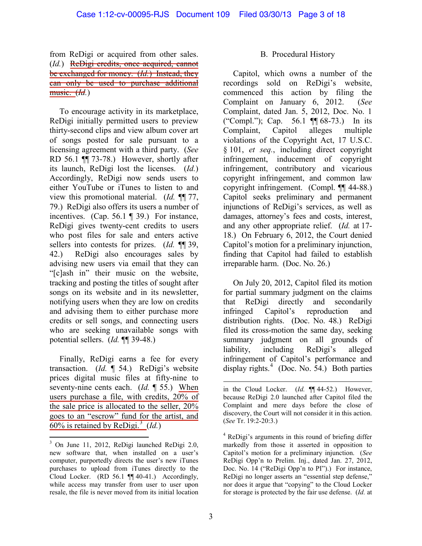#### from ReDigi or acquired from other sales. (*Id.*) ReDigi credits, once acquired, cannot be exchanged for money. (*Id.*) Instead, they can only be used to purchase additional music. (*Id.*)

To encourage activity in its marketplace, ReDigi initially permitted users to preview thirty-second clips and view album cover art of songs posted for sale pursuant to a licensing agreement with a third party. (*See* RD 56.1 ¶¶ 73-78.) However, shortly after its launch, ReDigi lost the licenses. (*Id.*) Accordingly, ReDigi now sends users to either YouTube or iTunes to listen to and view this promotional material. (*Id.* ¶¶ 77, 79.) ReDigi also offers its users a number of incentives. (Cap. 56.1 ¶ 39.) For instance, ReDigi gives twenty-cent credits to users who post files for sale and enters active sellers into contests for prizes. (*Id.* ¶¶ 39, 42.) ReDigi also encourages sales by advising new users via email that they can "[c]ash in" their music on the website, tracking and posting the titles of sought after songs on its website and in its newsletter, notifying users when they are low on credits and advising them to either purchase more credits or sell songs, and connecting users who are seeking unavailable songs with potential sellers. (*Id.* ¶¶ 39-48.)

Finally, ReDigi earns a fee for every transaction. (*Id.* ¶ 54.) ReDigi's website prices digital music files at fifty-nine to seventy-nine cents each. (*Id.* ¶ 55.) When users purchase a file, with credits, 20% of the sale price is allocated to the seller, 20% goes to an "escrow" fund for the artist, and  $60\%$  is retained by ReDigi.<sup>[3](#page-2-0)</sup> (*Id.*)

#### B. Procedural History

Capitol, which owns a number of the recordings sold on ReDigi's website, commenced this action by filing the Complaint on January 6, 2012. (*See*  Complaint, dated Jan. 5, 2012, Doc. No. 1 ("Compl."); Cap. 56.1 ¶¶ 68-73.) In its Complaint, Capitol alleges multiple violations of the Copyright Act, 17 U.S.C. § 101, *et seq.*, including direct copyright infringement, inducement of copyright infringement, contributory and vicarious copyright infringement, and common law copyright infringement. (Compl. ¶¶ 44-88.) Capitol seeks preliminary and permanent injunctions of ReDigi's services, as well as damages, attorney's fees and costs, interest, and any other appropriate relief. (*Id.* at 17- 18.) On February 6, 2012, the Court denied Capitol's motion for a preliminary injunction, finding that Capitol had failed to establish irreparable harm. (Doc. No. 26.)

On July 20, 2012, Capitol filed its motion for partial summary judgment on the claims that ReDigi directly and secondarily infringed Capitol's reproduction and distribution rights. (Doc. No. 48.) ReDigi filed its cross-motion the same day, seeking summary judgment on all grounds of liability, including ReDigi's alleged infringement of Capitol's performance and display rights. [4](#page-2-1) (Doc. No. 54.) Both parties

<span id="page-2-1"></span><span id="page-2-0"></span><sup>3</sup> On June 11, 2012, ReDigi launched ReDigi 2.0, new software that, when installed on a user's computer, purportedly directs the user's new iTunes purchases to upload from iTunes directly to the Cloud Locker. (RD 56.1 ¶¶ 40-41.) Accordingly, while access may transfer from user to user upon resale, the file is never moved from its initial location

 $\overline{a}$ in the Cloud Locker. (*Id.* ¶¶ 44-52.) However, because ReDigi 2.0 launched after Capitol filed the Complaint and mere days before the close of discovery, the Court will not consider it in this action. (*See* Tr. 19:2-20:3.)

<sup>4</sup> ReDigi's arguments in this round of briefing differ markedly from those it asserted in opposition to Capitol's motion for a preliminary injunction. (*See*  ReDigi Opp'n to Prelim. Inj., dated Jan. 27, 2012, Doc. No. 14 ("ReDigi Opp'n to PI").) For instance, ReDigi no longer asserts an "essential step defense," nor does it argue that "copying" to the Cloud Locker for storage is protected by the fair use defense. (*Id.* at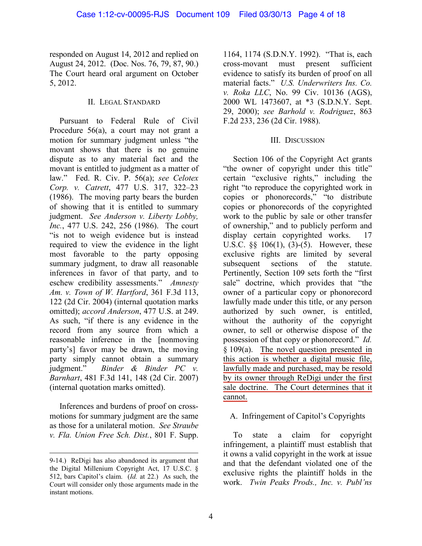responded on August 14, 2012 and replied on August 24, 2012. (Doc. Nos. 76, 79, 87, 90.) The Court heard oral argument on October 5, 2012.

#### II. LEGAL STANDARD

Pursuant to Federal Rule of Civil Procedure 56(a), a court may not grant a motion for summary judgment unless "the movant shows that there is no genuine dispute as to any material fact and the movant is entitled to judgment as a matter of law." Fed. R. Civ. P. 56(a); *see Celotex Corp. v. Catrett*, 477 U.S. 317, 322–23 (1986). The moving party bears the burden of showing that it is entitled to summary judgment. *See Anderson v. Liberty Lobby, Inc.*, 477 U.S. 242, 256 (1986). The court "is not to weigh evidence but is instead required to view the evidence in the light most favorable to the party opposing summary judgment, to draw all reasonable inferences in favor of that party, and to eschew credibility assessments." *Amnesty Am. v. Town of W. Hartford*, 361 F.3d 113, 122 (2d Cir. 2004) (internal quotation marks omitted); *accord Anderson*, 477 U.S. at 249. As such, "if there is any evidence in the record from any source from which a reasonable inference in the [nonmoving party's] favor may be drawn, the moving party simply cannot obtain a summary judgment." *Binder & Binder PC v. Barnhart*, 481 F.3d 141, 148 (2d Cir. 2007) (internal quotation marks omitted).

Inferences and burdens of proof on crossmotions for summary judgment are the same as those for a unilateral motion. *See Straube v. Fla. Union Free Sch. Dist.*, 801 F. Supp.

1164, 1174 (S.D.N.Y. 1992). "That is, each cross-movant must present sufficient evidence to satisfy its burden of proof on all material facts." *U.S. Underwriters Ins. Co. v. Roka LLC*, No. 99 Civ. 10136 (AGS), 2000 WL 1473607, at \*3 (S.D.N.Y. Sept. 29, 2000); *see Barhold v. Rodriguez*, 863 F.2d 233, 236 (2d Cir. 1988).

### III. DISCUSSION

Section 106 of the Copyright Act grants "the owner of copyright under this title" certain "exclusive rights," including the right "to reproduce the copyrighted work in copies or phonorecords," "to distribute copies or phonorecords of the copyrighted work to the public by sale or other transfer of ownership," and to publicly perform and display certain copyrighted works. 17 U.S.C. §§ 106(1), (3)-(5). However, these exclusive rights are limited by several subsequent sections of the statute. Pertinently, Section 109 sets forth the "first sale" doctrine, which provides that "the owner of a particular copy or phonorecord lawfully made under this title, or any person authorized by such owner, is entitled, without the authority of the copyright owner, to sell or otherwise dispose of the possession of that copy or phonorecord." *Id.*  § 109(a). The novel question presented in this action is whether a digital music file, lawfully made and purchased, may be resold by its owner through ReDigi under the first sale doctrine. The Court determines that it cannot.

# A. Infringement of Capitol's Copyrights

To state a claim for copyright infringement, a plaintiff must establish that it owns a valid copyright in the work at issue and that the defendant violated one of the exclusive rights the plaintiff holds in the work. *Twin Peaks Prods., Inc. v. Publ'ns* 

 $\overline{a}$ 9-14.) ReDigi has also abandoned its argument that the Digital Millenium Copyright Act, 17 U.S.C. § 512, bars Capitol's claim. (*Id.* at 22.) As such, the Court will consider only those arguments made in the instant motions.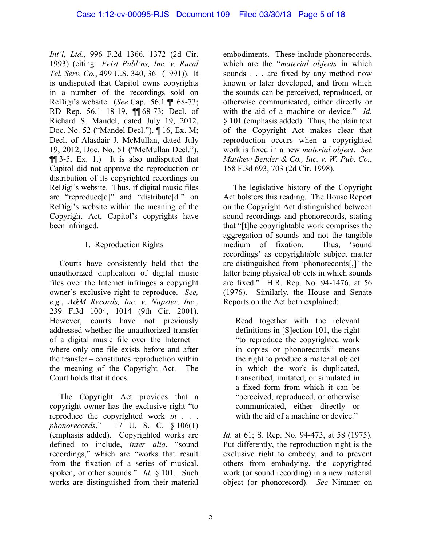*Int'l, Ltd.*, 996 F.2d 1366, 1372 (2d Cir. 1993) (citing *Feist Publ'ns, Inc. v. Rural Tel. Serv. Co.*, 499 U.S. 340, 361 (1991)). It is undisputed that Capitol owns copyrights in a number of the recordings sold on ReDigi's website. (*See* Cap. 56.1 ¶¶ 68-73; RD Rep. 56.1 18-19, ¶¶ 68-73; Decl. of Richard S. Mandel, dated July 19, 2012, Doc. No. 52 ("Mandel Decl."), ¶ 16, Ex. M; Decl. of Alasdair J. McMullan, dated July 19, 2012, Doc. No. 51 ("McMullan Decl."), ¶¶ 3-5, Ex. 1.) It is also undisputed that Capitol did not approve the reproduction or distribution of its copyrighted recordings on ReDigi's website. Thus, if digital music files are "reproduce[d]" and "distribute[d]" on ReDigi's website within the meaning of the Copyright Act, Capitol's copyrights have been infringed.

# 1. Reproduction Rights

Courts have consistently held that the unauthorized duplication of digital music files over the Internet infringes a copyright owner's exclusive right to reproduce. *See, e.g.*, *A&M Records, Inc. v. Napster, Inc.*, 239 F.3d 1004, 1014 (9th Cir. 2001). However, courts have not previously addressed whether the unauthorized transfer of a digital music file over the Internet – where only one file exists before and after the transfer – constitutes reproduction within the meaning of the Copyright Act. The Court holds that it does.

The Copyright Act provides that a copyright owner has the exclusive right "to reproduce the copyrighted work *in* . . . *phonorecords*." 17 U. S. C. § 106(1) (emphasis added). Copyrighted works are defined to include, *inter alia*, "sound recordings," which are "works that result from the fixation of a series of musical, spoken, or other sounds." *Id.* § 101. Such works are distinguished from their material

embodiments. These include phonorecords, which are the "*material objects* in which sounds . . . are fixed by any method now known or later developed, and from which the sounds can be perceived, reproduced, or otherwise communicated, either directly or with the aid of a machine or device." *Id.* § 101 (emphasis added). Thus, the plain text of the Copyright Act makes clear that reproduction occurs when a copyrighted work is fixed in a new *material object*. *See Matthew Bender & Co., Inc. v. W. Pub. Co.*, 158 F.3d 693, 703 (2d Cir. 1998).

The legislative history of the Copyright Act bolsters this reading. The House Report on the Copyright Act distinguished between sound recordings and phonorecords, stating that "[t]he copyrightable work comprises the aggregation of sounds and not the tangible medium of fixation. Thus, 'sound recordings' as copyrightable subject matter are distinguished from 'phonorecords[,]' the latter being physical objects in which sounds are fixed." H.R. Rep. No. 94-1476, at 56 (1976). Similarly, the House and Senate Reports on the Act both explained:

Read together with the relevant definitions in [S]ection 101, the right "to reproduce the copyrighted work in copies or phonorecords" means the right to produce a material object in which the work is duplicated, transcribed, imitated, or simulated in a fixed form from which it can be "perceived, reproduced, or otherwise communicated, either directly or with the aid of a machine or device."

*Id.* at 61; S. Rep. No. 94-473, at 58 (1975). Put differently, the reproduction right is the exclusive right to embody, and to prevent others from embodying, the copyrighted work (or sound recording) in a new material object (or phonorecord). *See* Nimmer on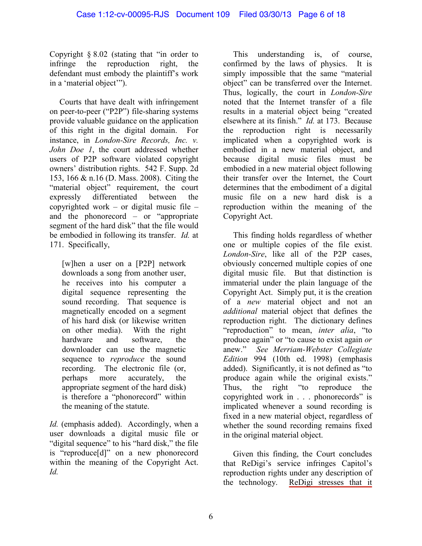Copyright § 8.02 (stating that "in order to infringe the reproduction right, the defendant must embody the plaintiff's work in a 'material object'").

Courts that have dealt with infringement on peer-to-peer ("P2P") file-sharing systems provide valuable guidance on the application of this right in the digital domain. For instance, in *London-Sire Records, Inc. v. John Doe 1*, the court addressed whether users of P2P software violated copyright owners' distribution rights. 542 F. Supp. 2d 153, 166 & n.16 (D. Mass. 2008). Citing the "material object" requirement, the court expressly differentiated between the copyrighted work – or digital music file – and the phonorecord – or "appropriate segment of the hard disk" that the file would be embodied in following its transfer. *Id.* at 171. Specifically,

[w]hen a user on a [P2P] network downloads a song from another user, he receives into his computer a digital sequence representing the sound recording. That sequence is magnetically encoded on a segment of his hard disk (or likewise written on other media). With the right hardware and software, the downloader can use the magnetic sequence to *reproduce* the sound recording. The electronic file (or, perhaps more accurately, the appropriate segment of the hard disk) is therefore a "phonorecord" within the meaning of the statute.

*Id.* (emphasis added). Accordingly, when a user downloads a digital music file or "digital sequence" to his "hard disk," the file is "reproduce[d]" on a new phonorecord within the meaning of the Copyright Act. *Id.* 

This understanding is, of course, confirmed by the laws of physics. It is simply impossible that the same "material object" can be transferred over the Internet. Thus, logically, the court in *London-Sire* noted that the Internet transfer of a file results in a material object being "created elsewhere at its finish." *Id.* at 173. Because the reproduction right is necessarily implicated when a copyrighted work is embodied in a new material object, and because digital music files must be embodied in a new material object following their transfer over the Internet, the Court determines that the embodiment of a digital music file on a new hard disk is a reproduction within the meaning of the Copyright Act.

This finding holds regardless of whether one or multiple copies of the file exist. *London-Sire*, like all of the P2P cases, obviously concerned multiple copies of one digital music file. But that distinction is immaterial under the plain language of the Copyright Act. Simply put, it is the creation of a *new* material object and not an *additional* material object that defines the reproduction right. The dictionary defines "reproduction" to mean, *inter alia*, "to produce again" or "to cause to exist again *or* anew." *See Merriam-Webster Collegiate Edition* 994 (10th ed. 1998) (emphasis added). Significantly, it is not defined as "to produce again while the original exists." Thus, the right "to reproduce the copyrighted work in . . . phonorecords" is implicated whenever a sound recording is fixed in a new material object, regardless of whether the sound recording remains fixed in the original material object.

Given this finding, the Court concludes that ReDigi's service infringes Capitol's reproduction rights under any description of<br>the technology. ReDigi stresses that it ReDigi stresses that it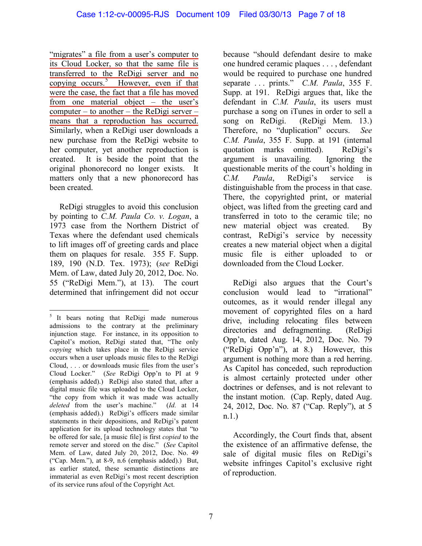"migrates" a file from a user's computer to its Cloud Locker, so that the same file is transferred to the ReDigi server and no copying occurs. [5](#page-6-0) However, even if that were the case, the fact that a file has moved from one material object – the user's computer – to another – the ReDigi server – means that a reproduction has occurred. Similarly, when a ReDigi user downloads a new purchase from the ReDigi website to her computer, yet another reproduction is created. It is beside the point that the original phonorecord no longer exists. It matters only that a new phonorecord has been created.

ReDigi struggles to avoid this conclusion by pointing to *C.M. Paula Co. v. Logan*, a 1973 case from the Northern District of Texas where the defendant used chemicals to lift images off of greeting cards and place them on plaques for resale. 355 F. Supp. 189, 190 (N.D. Tex. 1973); (*see* ReDigi Mem. of Law, dated July 20, 2012, Doc. No. 55 ("ReDigi Mem."), at 13). The court determined that infringement did not occur

because "should defendant desire to make one hundred ceramic plaques . . . , defendant would be required to purchase one hundred separate . . . prints." *C.M. Paula*, 355 F. Supp. at 191. ReDigi argues that, like the defendant in *C.M. Paula*, its users must purchase a song on iTunes in order to sell a song on ReDigi. (ReDigi Mem. 13.) Therefore, no "duplication" occurs. *See C.M. Paula*, 355 F. Supp. at 191 (internal quotation marks omitted). ReDigi's argument is unavailing. Ignoring the questionable merits of the court's holding in *C.M. Paula*, ReDigi's service is distinguishable from the process in that case. There, the copyrighted print, or material object, was lifted from the greeting card and transferred in toto to the ceramic tile; no new material object was created. By contrast, ReDigi's service by necessity creates a new material object when a digital music file is either uploaded to or downloaded from the Cloud Locker.

ReDigi also argues that the Court's conclusion would lead to "irrational" outcomes, as it would render illegal any movement of copyrighted files on a hard drive, including relocating files between directories and defragmenting. (ReDigi Opp'n, dated Aug. 14, 2012, Doc. No. 79 ("ReDigi Opp'n"), at 8.) However, this argument is nothing more than a red herring. As Capitol has conceded, such reproduction is almost certainly protected under other doctrines or defenses, and is not relevant to the instant motion. (Cap. Reply, dated Aug. 24, 2012, Doc. No. 87 ("Cap. Reply"), at 5 n.1.)

Accordingly, the Court finds that, absent the existence of an affirmative defense, the sale of digital music files on ReDigi's website infringes Capitol's exclusive right of reproduction.

<span id="page-6-0"></span><sup>&</sup>lt;sup>5</sup> It bears noting that ReDigi made numerous admissions to the contrary at the preliminary injunction stage. For instance, in its opposition to Capitol's motion, ReDigi stated that, "The only *copying* which takes place in the ReDigi service occurs when a user uploads music files to the ReDigi Cloud, . . . or downloads music files from the user's Cloud Locker." (*See* ReDigi Opp'n to PI at 9 (emphasis added).) ReDigi also stated that, after a digital music file was uploaded to the Cloud Locker, "the copy from which it was made was actually *deleted* from the user's machine." (*Id.* at 14 (emphasis added).) ReDigi's officers made similar statements in their depositions, and ReDigi's patent application for its upload technology states that "to be offered for sale, [a music file] is first *copied* to the remote server and stored on the disc." (*See* Capitol Mem. of Law, dated July 20, 2012, Doc. No. 49 ("Cap. Mem."), at 8-9, n.6 (emphasis added).) But, as earlier stated, these semantic distinctions are immaterial as even ReDigi's most recent description of its service runs afoul of the Copyright Act.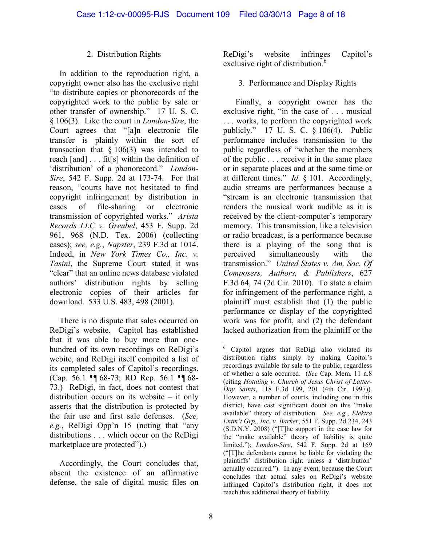### 2. Distribution Rights

In addition to the reproduction right, a copyright owner also has the exclusive right "to distribute copies or phonorecords of the copyrighted work to the public by sale or other transfer of ownership." 17 U. S. C. § 106(3). Like the court in *London-Sire*, the Court agrees that "[a]n electronic file transfer is plainly within the sort of transaction that  $\S 106(3)$  was intended to reach [and] . . . fit[s] within the definition of 'distribution' of a phonorecord." *London-Sire*, 542 F. Supp. 2d at 173-74. For that reason, "courts have not hesitated to find copyright infringement by distribution in cases of file-sharing or electronic transmission of copyrighted works." *Arista Records LLC v. Greubel*, 453 F. Supp. 2d 961, 968 (N.D. Tex. 2006) (collecting cases); *see, e.g.*, *Napster*, 239 F.3d at 1014. Indeed, in *New York Times Co., Inc. v. Tasini*, the Supreme Court stated it was "clear" that an online news database violated authors' distribution rights by selling electronic copies of their articles for download. 533 U.S. 483, 498 (2001).

<span id="page-7-0"></span>There is no dispute that sales occurred on ReDigi's website. Capitol has established that it was able to buy more than onehundred of its own recordings on ReDigi's webite, and ReDigi itself compiled a list of its completed sales of Capitol's recordings. (Cap. 56.1 ¶¶ 68-73; RD Rep. 56.1 ¶¶ 68- 73.) ReDigi, in fact, does not contest that distribution occurs on its website – it only asserts that the distribution is protected by the fair use and first sale defenses. (*See, e.g.*, ReDigi Opp'n 15 (noting that "any distributions . . . which occur on the ReDigi marketplace are protected").)

Accordingly, the Court concludes that, absent the existence of an affirmative defense, the sale of digital music files on ReDigi's website infringes Capitol's exclusive right of distribution. $6$ 

### 3. Performance and Display Rights

Finally, a copyright owner has the exclusive right, "in the case of . . . musical . . . works, to perform the copyrighted work publicly." 17 U. S. C. § 106(4). Public performance includes transmission to the public regardless of "whether the members of the public . . . receive it in the same place or in separate places and at the same time or at different times." *Id.* § 101. Accordingly, audio streams are performances because a "stream is an electronic transmission that renders the musical work audible as it is received by the client-computer's temporary memory. This transmission, like a television or radio broadcast, is a performance because there is a playing of the song that is perceived simultaneously with the transmission." *United States v. Am. Soc. Of Composers, Authors, & Publishers*, 627 F.3d 64, 74 (2d Cir. 2010). To state a claim for infringement of the performance right, a plaintiff must establish that (1) the public performance or display of the copyrighted work was for profit, and (2) the defendant lacked authorization from the plaintiff or the

<sup>6</sup> Capitol argues that ReDigi also violated its distribution rights simply by making Capitol's recordings available for sale to the public, regardless of whether a sale occurred. (*See* Cap. Mem. 11 n.8 (citing *Hotaling v. Church of Jesus Christ of Latter-Day Saints*, 118 F.3d 199, 201 (4th Cir. 1997)). However, a number of courts, including one in this district, have cast significant doubt on this "make available" theory of distribution. *See, e.g.*, *Elektra Entm't Grp., Inc. v. Barker*, 551 F. Supp. 2d 234, 243 (S.D.N.Y. 2008) ("[T]he support in the case law for the "make available" theory of liability is quite limited."); *London-Sire*, 542 F. Supp. 2d at 169 ("[T]he defendants cannot be liable for violating the plaintiffs' distribution right unless a 'distribution' actually occurred."). In any event, because the Court concludes that actual sales on ReDigi's website infringed Capitol's distribution right, it does not reach this additional theory of liability.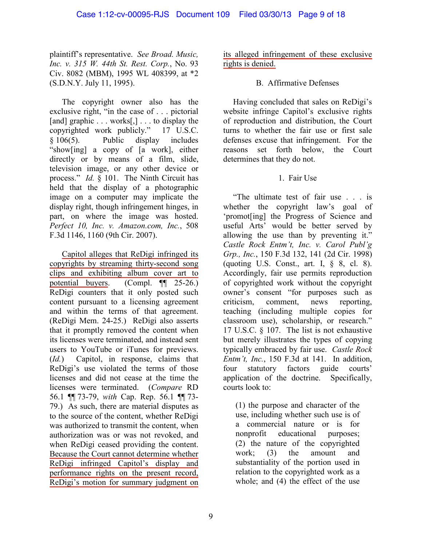plaintiff's representative. *See Broad. Music, Inc. v. 315 W. 44th St. Rest. Corp.*, No. 93 Civ. 8082 (MBM), 1995 WL 408399, at \*2 (S.D.N.Y. July 11, 1995).

The copyright owner also has the exclusive right, "in the case of . . . pictorial [and] graphic . . . works[,] . . . to display the copyrighted work publicly." 17 U.S.C. § 106(5). Public display includes "show[ing] a copy of [a work], either directly or by means of a film, slide, television image, or any other device or process." *Id.* § 101. The Ninth Circuit has held that the display of a photographic image on a computer may implicate the display right, though infringement hinges, in part, on where the image was hosted. *Perfect 10, Inc. v. Amazon.com, Inc.*, 508 F.3d 1146, 1160 (9th Cir. 2007).

Capitol alleges that ReDigi infringed its copyrights by streaming thirty-second song clips and exhibiting album cover art to potential buyers. (Compl. ¶¶ 25-26.) ReDigi counters that it only posted such content pursuant to a licensing agreement and within the terms of that agreement. (ReDigi Mem. 24-25.) ReDigi also asserts that it promptly removed the content when its licenses were terminated, and instead sent users to YouTube or iTunes for previews. (*Id.*) Capitol, in response, claims that ReDigi's use violated the terms of those licenses and did not cease at the time the licenses were terminated. (*Compare* RD 56.1 ¶¶ 73-79, *with* Cap. Rep. 56.1 ¶¶ 73- 79.) As such, there are material disputes as to the source of the content, whether ReDigi was authorized to transmit the content, when authorization was or was not revoked, and when ReDigi ceased providing the content. Because the Court cannot determine whether ReDigi infringed Capitol's display and performance rights on the present record, ReDigi's motion for summary judgment on

its alleged infringement of these exclusive rights is denied.

### B. Affirmative Defenses

Having concluded that sales on ReDigi's website infringe Capitol's exclusive rights of reproduction and distribution, the Court turns to whether the fair use or first sale defenses excuse that infringement. For the reasons set forth below, the Court determines that they do not.

# 1. Fair Use

"The ultimate test of fair use . . . is whether the copyright law's goal of 'promot[ing] the Progress of Science and useful Arts' would be better served by allowing the use than by preventing it." *Castle Rock Entm't, Inc. v. Carol Publ'g Grp., Inc.*, 150 F.3d 132, 141 (2d Cir. 1998) (quoting U.S. Const., art. I,  $\S$  8, cl. 8). Accordingly, fair use permits reproduction of copyrighted work without the copyright owner's consent "for purposes such as criticism, comment, news reporting, teaching (including multiple copies for classroom use), scholarship, or research." 17 U.S.C. § 107. The list is not exhaustive but merely illustrates the types of copying typically embraced by fair use. *Castle Rock Entm't, Inc.*, 150 F.3d at 141. In addition, four statutory factors guide courts' application of the doctrine. Specifically, courts look to:

(1) the purpose and character of the use, including whether such use is of a commercial nature or is for nonprofit educational purposes; (2) the nature of the copyrighted work; (3) the amount and substantiality of the portion used in relation to the copyrighted work as a whole; and (4) the effect of the use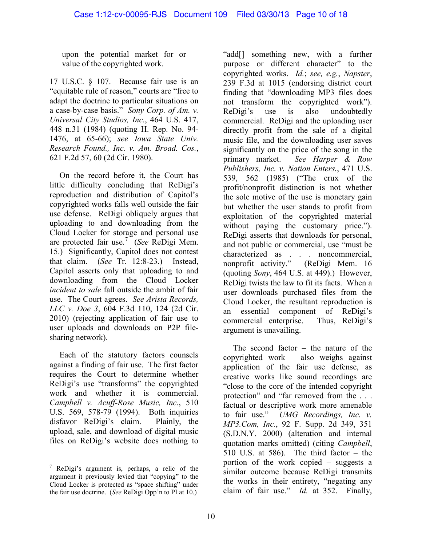upon the potential market for or value of the copyrighted work.

17 U.S.C. § 107. Because fair use is an "equitable rule of reason," courts are "free to adapt the doctrine to particular situations on a case-by-case basis." *Sony Corp. of Am. v. Universal City Studios, Inc.*, 464 U.S. 417, 448 n.31 (1984) (quoting H. Rep. No. 94- 1476, at 65-66); *see [Iowa State Univ.](http://www.lexis.com/research/xlink?app=00075&view=full&searchtype=le&search=621+F.2d+57%2520at%252060)  [Research Found., Inc. v. Am. Broad.](http://www.lexis.com/research/xlink?app=00075&view=full&searchtype=le&search=621+F.2d+57%2520at%252060) Cos.*, [621 F.2d 57, 60 \(2d Cir. 1980\).](http://www.lexis.com/research/xlink?app=00075&view=full&searchtype=le&search=621+F.2d+57%2520at%252060)

On the record before it, the Court has little difficulty concluding that ReDigi's reproduction and distribution of Capitol's copyrighted works falls well outside the fair use defense. ReDigi obliquely argues that uploading to and downloading from the Cloud Locker for storage and personal use are protected fair use. [7](#page-9-0) (*See* ReDigi Mem. 15.) Significantly, Capitol does not contest that claim. (*See* Tr. 12:8-23.) Instead, Capitol asserts only that uploading to and downloading from the Cloud Locker *incident to sale* fall outside the ambit of fair use. The Court agrees. *See Arista Records, LLC v. Doe 3*, 604 F.3d 110, 124 (2d Cir. 2010) (rejecting application of fair use to user uploads and downloads on P2P filesharing network).

Each of the statutory factors counsels against a finding of fair use. The first factor requires the Court to determine whether ReDigi's use "transforms" the copyrighted work and whether it is commercial. *Campbell v. Acuff-Rose Music, Inc.*, 510 U.S. 569, 578-79 (1994). Both inquiries disfavor ReDigi's claim. Plainly, the upload, sale, and download of digital music files on ReDigi's website does nothing to

"add[] something new, with a further purpose or different character" to the copyrighted works. *Id.*; *see, e.g.*, *Napster*, 239 F.3d at 1015 (endorsing district court finding that "downloading MP3 files does not transform the copyrighted work"). ReDigi's use is also undoubtedly commercial. ReDigi and the uploading user directly profit from the sale of a digital music file, and the downloading user saves significantly on the price of the song in the primary market. *See Harper & Row Publishers, Inc. v. Nation Enters.*, 471 U.S. 539, 562 (1985) ("The crux of the profit/nonprofit distinction is not whether the sole motive of the use is monetary gain but whether the user stands to profit from exploitation of the copyrighted material without paying the customary price."). ReDigi asserts that downloads for personal, and not public or commercial, use "must be characterized as . . . noncommercial, nonprofit activity." (ReDigi Mem. 16 (quoting *Sony*, 464 U.S. at 449).) However, ReDigi twists the law to fit its facts. When a user downloads purchased files from the Cloud Locker, the resultant reproduction is an essential component of ReDigi's commercial enterprise. Thus, ReDigi's argument is unavailing.

The second factor – the nature of the copyrighted work – also weighs against application of the fair use defense, as creative works like sound recordings are "close to the core of the intended copyright protection" and "far removed from the . . . factual or descriptive work more amenable to fair use." *UMG Recordings, Inc. v. MP3.Com, Inc.*, 92 F. Supp. 2d 349, 351 (S.D.N.Y. 2000) (alteration and internal quotation marks omitted) (citing *Campbell*, 510 U.S. at 586). The third factor – the portion of the work copied – suggests a similar outcome because ReDigi transmits the works in their entirety, "negating any claim of fair use." *Id.* at 352. Finally,

<span id="page-9-0"></span> $\frac{7}{7}$  ReDigi's argument is, perhaps, a relic of the argument it previously levied that "copying" to the Cloud Locker is protected as "space shifting" under the fair use doctrine. (*See* ReDigi Opp'n to PI at 10.)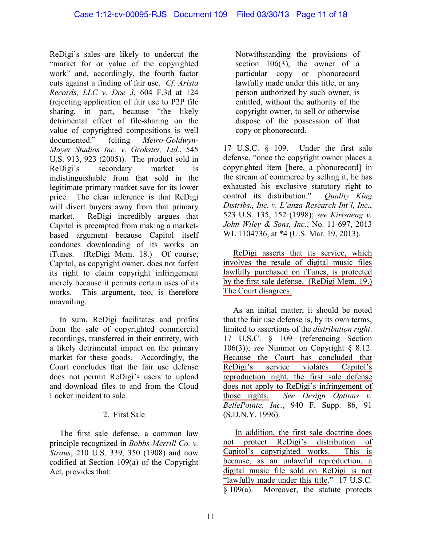ReDigi's sales are likely to undercut the "market for or value of the copyrighted work" and, accordingly, the fourth factor cuts against a finding of fair use. *Cf. Arista Records, LLC v. Doe 3*, 604 F.3d at 124 (rejecting application of fair use to P2P file sharing, in part, because "the likely detrimental effect of file-sharing on the value of copyrighted compositions is well documented." (citing *Metro-Goldwyn-Mayer Studios Inc. v. Grokster, Ltd.*, 545 U.S. 913, 923 (2005)). The product sold in ReDigi's secondary market is indistinguishable from that sold in the legitimate primary market save for its lower price. The clear inference is that ReDigi will divert buyers away from that primary market. ReDigi incredibly argues that Capitol is preempted from making a marketbased argument because Capitol itself condones downloading of its works on iTunes. (ReDigi Mem. 18.) Of course, Capitol, as copyright owner, does not forfeit its right to claim copyright infringement merely because it permits certain uses of its works. This argument, too, is therefore unavailing.

In sum, ReDigi facilitates and profits from the sale of copyrighted commercial recordings, transferred in their entirety, with a likely detrimental impact on the primary market for these goods. Accordingly, the Court concludes that the fair use defense does not permit ReDigi's users to upload and download files to and from the Cloud Locker incident to sale.

# 2. First Sale

The first sale defense, a common law principle recognized in *Bobbs-Merrill Co. v. Straus*, 210 U.S. 339, 350 (1908) and now codified at Section 109(a) of the Copyright Act, provides that:

Notwithstanding the provisions of section  $106(3)$ , the owner of a particular copy or phonorecord lawfully made under this title, or any person authorized by such owner, is entitled, without the authority of the copyright owner, to sell or otherwise dispose of the possession of that copy or phonorecord.

17 U.S.C. § 109. Under the first sale defense, "once the copyright owner places a copyrighted item [here, a phonorecord] in the stream of commerce by selling it, he has exhausted his exclusive statutory right to control its distribution." *Quality King Distribs., Inc. v. L'anza Research Int'l, Inc.*, 523 U.S. 135, 152 (1998); *see Kirtsaeng v. John Wiley & Sons, Inc.*, No. 11-697, 2013 WL 1104736, at \*4 (U.S. Mar. 19, 2013).

ReDigi asserts that its service, which involves the resale of digital music files lawfully purchased on iTunes, is protected by the first sale defense. (ReDigi Mem. 19.) The Court disagrees.

As an initial matter, it should be noted that the fair use defense is, by its own terms, limited to assertions of the *distribution right*. 17 U.S.C. § 109 (referencing Section 106(3)); *see* Nimmer on Copyright § 8.12. Because the Court has concluded that ReDigi's service violates Capitol's reproduction right, the first sale defense does not apply to ReDigi's infringement of those rights. *See Design Options v. BellePointe, Inc.*, 940 F. Supp. 86, 91 (S.D.N.Y. 1996).

In addition, the first sale doctrine does not protect ReDigi's distribution of Capitol's copyrighted works. This is because, as an unlawful reproduction, a digital music file sold on ReDigi is not "lawfully made under this title." 17 U.S.C.  $\sqrt[5]{8109(a)}$ . Moreover, the statute protects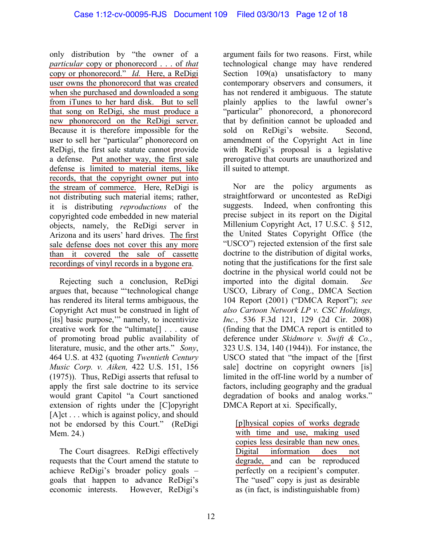only distribution by "the owner of a *particular* copy or phonorecord . . . of *that* copy or phonorecord." *Id.* Here, a ReDigi user owns the phonorecord that was created when she purchased and downloaded a song from iTunes to her hard disk. But to sell that song on ReDigi, she must produce a new phonorecord on the ReDigi server. Because it is therefore impossible for the user to sell her "particular" phonorecord on ReDigi, the first sale statute cannot provide a defense. Put another way, the first sale defense is limited to material items, like records, that the copyright owner put into the stream of commerce. Here, ReDigi is not distributing such material items; rather, it is distributing *reproductions* of the copyrighted code embedded in new material objects, namely, the ReDigi server in Arizona and its users' hard drives. The first sale defense does not cover this any more than it covered the sale of cassette recordings of vinyl records in a bygone era.

Rejecting such a conclusion, ReDigi argues that, because "'technological change has rendered its literal terms ambiguous, the Copyright Act must be construed in light of [its] basic purpose,'" namely, to incentivize creative work for the "ultimate[] . . . cause of promoting broad public availability of literature, music, and the other arts." *Sony*, 464 U.S. at 432 (quoting *Twentieth Century Music Corp. v. Aiken,* 422 U.S. 151, 156 (1975)). Thus, ReDigi asserts that refusal to apply the first sale doctrine to its service would grant Capitol "a Court sanctioned extension of rights under the [C]opyright [A]ct . . . which is against policy, and should not be endorsed by this Court." (ReDigi Mem. 24.)

The Court disagrees. ReDigi effectively requests that the Court amend the statute to achieve ReDigi's broader policy goals – goals that happen to advance ReDigi's economic interests. However, ReDigi's

argument fails for two reasons. First, while technological change may have rendered Section 109(a) unsatisfactory to many contemporary observers and consumers, it has not rendered it ambiguous. The statute plainly applies to the lawful owner's "particular" phonorecord, a phonorecord that by definition cannot be uploaded and sold on ReDigi's website. Second, amendment of the Copyright Act in line with ReDigi's proposal is a legislative prerogative that courts are unauthorized and ill suited to attempt.

Nor are the policy arguments as straightforward or uncontested as ReDigi suggests. Indeed, when confronting this precise subject in its report on the Digital Millenium Copyright Act, 17 U.S.C. § 512, the United States Copyright Office (the "USCO") rejected extension of the first sale doctrine to the distribution of digital works, noting that the justifications for the first sale doctrine in the physical world could not be imported into the digital domain. *See* USCO, Library of Cong., DMCA Section 104 Report (2001) ("DMCA Report"); *see also Cartoon Network LP v. CSC Holdings, Inc.*, 536 F.3d 121, 129 (2d Cir. 2008) (finding that the DMCA report is entitled to deference under *Skidmore v. Swift & Co.*, 323 U.S. 134, 140 (1944)). For instance, the USCO stated that "the impact of the [first sale] doctrine on copyright owners [is] limited in the off-line world by a number of factors, including geography and the gradual degradation of books and analog works." DMCA Report at xi. Specifically,

[p]hysical copies of works degrade with time and use, making used copies less desirable than new ones. Digital information does not degrade, and can be reproduced perfectly on a recipient's computer. The "used" copy is just as desirable as (in fact, is indistinguishable from)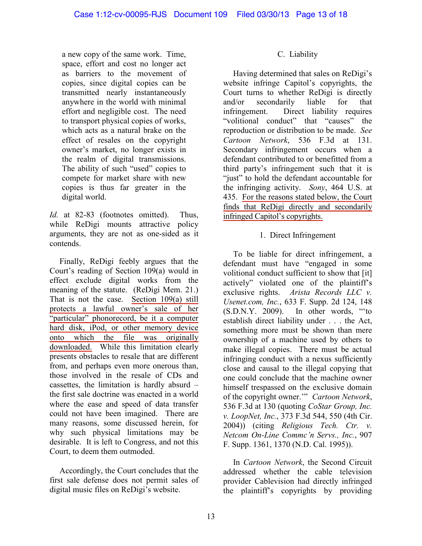a new copy of the same work. Time, space, effort and cost no longer act as barriers to the movement of copies, since digital copies can be transmitted nearly instantaneously anywhere in the world with minimal effort and negligible cost. The need to transport physical copies of works, which acts as a natural brake on the effect of resales on the copyright owner's market, no longer exists in the realm of digital transmissions. The ability of such "used" copies to compete for market share with new copies is thus far greater in the digital world.

Id. at 82-83 (footnotes omitted). Thus, while ReDigi mounts attractive policy arguments, they are not as one-sided as it contends.

Finally, ReDigi feebly argues that the Court's reading of Section 109(a) would in effect exclude digital works from the meaning of the statute. (ReDigi Mem. 21.) That is not the case. Section 109(a) still protects a lawful owner's sale of her "particular" phonorecord, be it a computer hard disk, iPod, or other memory device onto which the file was originally downloaded. While this limitation clearly presents obstacles to resale that are different from, and perhaps even more onerous than, those involved in the resale of CDs and cassettes, the limitation is hardly absurd – the first sale doctrine was enacted in a world where the ease and speed of data transfer could not have been imagined. There are many reasons, some discussed herein, for why such physical limitations may be desirable. It is left to Congress, and not this Court, to deem them outmoded.

Accordingly, the Court concludes that the first sale defense does not permit sales of digital music files on ReDigi's website.

#### C. Liability

Having determined that sales on ReDigi's website infringe Capitol's copyrights, the Court turns to whether ReDigi is directly and/or secondarily liable for that infringement. Direct liability requires "volitional conduct" that "causes" the reproduction or distribution to be made. *See Cartoon Network*, 536 F.3d at 131. Secondary infringement occurs when a defendant contributed to or benefitted from a third party's infringement such that it is "just" to hold the defendant accountable for the infringing activity. *Sony*, 464 U.S. at 435. For the reasons stated below, the Court finds that ReDigi directly and secondarily infringed Capitol's copyrights.

### 1. Direct Infringement

To be liable for direct infringement, a defendant must have "engaged in some volitional conduct sufficient to show that [it] actively" violated one of the plaintiff's exclusive rights. *Arista Records LLC v. Usenet.com, Inc.*, 633 F. Supp. 2d 124, 148 (S.D.N.Y. 2009). In other words, "'to establish direct liability under . . . the Act, something more must be shown than mere ownership of a machine used by others to make illegal copies. There must be actual infringing conduct with a nexus sufficiently close and causal to the illegal copying that one could conclude that the machine owner himself trespassed on the exclusive domain of the copyright owner.'" *Cartoon Network*, 536 F.3d at 130 (quoting *CoStar Group, Inc. v. LoopNet, Inc.*, 373 F.3d 544, 550 (4th Cir. 2004)) (citing *Religious Tech. Ctr. v. Netcom On-Line Commc'n Servs., Inc.*, 907 F. Supp. 1361, 1370 (N.D. Cal. 1995)).

In *Cartoon Network*, the Second Circuit addressed whether the cable television provider Cablevision had directly infringed the plaintiff's copyrights by providing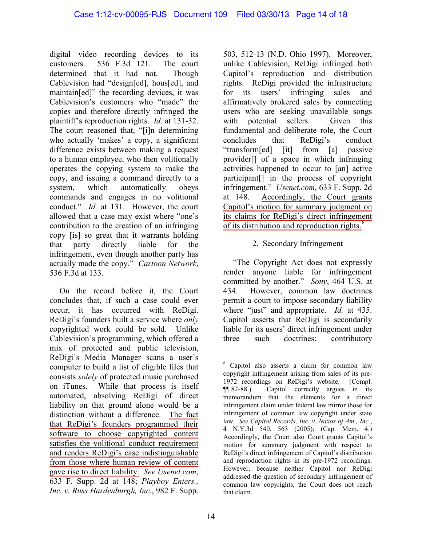digital video recording devices to its customers. 536 F.3d 121. The court determined that it had not. Though Cablevision had "design[ed], hous[ed], and maintain[ed]" the recording devices, it was Cablevision's customers who "made" the copies and therefore directly infringed the plaintiff's reproduction rights. *Id.* at 131-32. The court reasoned that, "[i]n determining who actually 'makes' a copy, a significant difference exists between making a request to a human employee, who then volitionally operates the copying system to make the copy, and issuing a command directly to a system, which automatically obeys commands and engages in no volitional conduct." *Id.* at 131. However, the court allowed that a case may exist where "one's contribution to the creation of an infringing copy [is] so great that it warrants holding that party directly liable for the infringement, even though another party has actually made the copy." *Cartoon Network*, 536 F.3d at 133.

<span id="page-13-0"></span>On the record before it, the Court concludes that, if such a case could ever occur, it has occurred with ReDigi. ReDigi's founders built a service where *only* copyrighted work could be sold. Unlike Cablevision's programming, which offered a mix of protected and public television, ReDigi's Media Manager scans a user's computer to build a list of eligible files that consists *solely* of protected music purchased on iTunes. While that process is itself automated, absolving ReDigi of direct liability on that ground alone would be a distinction without a difference. The fact that ReDigi's founders programmed their software to choose copyrighted content satisfies the volitional conduct requirement and renders ReDigi's case indistinguishable from those where human review of content gave rise to direct liability. *See Usenet.com*, 633 F. Supp. 2d at 148; *Playboy Enters., Inc. v. Russ Hardenburgh, Inc.*, 982 F. Supp.

503, 512-13 (N.D. Ohio 1997). Moreover, unlike Cablevision, ReDigi infringed both Capitol's reproduction and distribution rights. ReDigi provided the infrastructure for its users' infringing sales and affirmatively brokered sales by connecting users who are seeking unavailable songs with potential sellers. Given this fundamental and deliberate role, the Court concludes that ReDigi's conduct "transform[ed] [it] from [a] passive provider[] of a space in which infringing activities happened to occur to [an] active participant[] in the process of copyright infringement." *Usenet.com*, 633 F. Supp. 2d at 148. Accordingly, the Court grants Capitol's motion for summary judgment on its claims for ReDigi's direct infringement of its distribution and reproduction rights. $\frac{8}{3}$  $\frac{8}{3}$  $\frac{8}{3}$ 

# 2. Secondary Infringement

"The Copyright Act does not expressly render anyone liable for infringement committed by another." *Sony*, 464 U.S. at 434. However, common law doctrines permit a court to impose secondary liability where "just" and appropriate. *Id.* at 435. Capitol asserts that ReDigi is secondarily liable for its users' direct infringement under three such doctrines: contributory

<sup>8</sup> Capitol also asserts a claim for common law copyright infringement arising from sales of its pre-1972 recordings on ReDigi's website. (Compl. ¶¶ 82-88.) Capitol correctly argues in its memorandum that the elements for a direct infringement claim under federal law mirror those for infringement of common law copyright under state law. *See Capitol Records, Inc. v. Naxos of Am., Inc.*, 4 N.Y.3d 540, 563 (2005); (Cap. Mem. 4.) Accordingly, the Court also Court grants Capitol's motion for summary judgment with respect to ReDigi's direct infringement of Capitol's distribution and reproduction rights in its pre-1972 recordings. However, because neither Capitol nor ReDigi addressed the question of secondary infringement of common law copyrights, the Court does not reach that claim.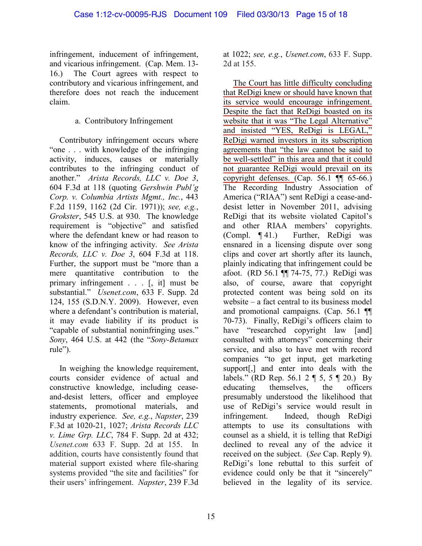infringement, inducement of infringement, and vicarious infringement. (Cap. Mem. 13- 16.) The Court agrees with respect to contributory and vicarious infringement, and therefore does not reach the inducement claim.

# a. Contributory Infringement

Contributory infringement occurs where "one . . . with knowledge of the infringing activity, induces, causes or materially contributes to the infringing conduct of another." *Arista Records, LLC v. Doe 3*, 604 F.3d at 118 (quoting *Gershwin Publ'g Corp. v. Columbia Artists Mgmt., Inc.*, 443 F.2d 1159, 1162 (2d Cir. 1971)); *see, e.g.*, *Grokster*, 545 U.S. at 930. The knowledge requirement is "objective" and satisfied where the defendant knew or had reason to know of the infringing activity. *See Arista Records, LLC v. Doe 3*, 604 F.3d at 118. Further, the support must be "more than a mere quantitative contribution to the primary infringement . . . [, it] must be substantial." *Usenet.com*, 633 F. Supp. 2d 124, 155 (S.D.N.Y. 2009). However, even where a defendant's contribution is material, it may evade liability if its product is "capable of substantial noninfringing uses." *Sony*, 464 U.S. at 442 (the "*Sony-Betamax* rule").

In weighing the knowledge requirement, courts consider evidence of actual and constructive knowledge, including ceaseand-desist letters, officer and employee statements, promotional materials, and industry experience. *See, e.g.*, *Napster*, 239 F.3d at 1020-21, 1027; *Arista Records LLC v. Lime Grp. LLC*, 784 F. Supp. 2d at 432; *Usenet.com* 633 F. Supp. 2d at 155. In addition, courts have consistently found that material support existed where file-sharing systems provided "the site and facilities" for their users' infringement. *Napster*, 239 F.3d

at 1022; *see, e.g.*, *Usenet.com*, 633 F. Supp. 2d at 155.

The Court has little difficulty concluding that ReDigi knew or should have known that its service would encourage infringement. Despite the fact that ReDigi boasted on its website that it was "The Legal Alternative" and insisted "YES, ReDigi is LEGAL," ReDigi warned investors in its subscription agreements that "the law cannot be said to be well-settled" in this area and that it could not guarantee ReDigi would prevail on its copyright defenses. (Cap. 56.1  $\P$  65-66.) The Recording Industry Association of America ("RIAA") sent ReDigi a cease-anddesist letter in November 2011, advising ReDigi that its website violated Capitol's and other RIAA members' copyrights. (Compl. ¶ 41.) Further, ReDigi was ensnared in a licensing dispute over song clips and cover art shortly after its launch, plainly indicating that infringement could be afoot. (RD 56.1 ¶¶ 74-75, 77.) ReDigi was also, of course, aware that copyright protected content was being sold on its website – a fact central to its business model and promotional campaigns. (Cap. 56.1 ¶¶ 70-73). Finally, ReDigi's officers claim to have "researched copyright law [and] consulted with attorneys" concerning their service, and also to have met with record companies "to get input, get marketing support[,] and enter into deals with the labels." (RD Rep. 56.1 2 ¶ 5, 5 ¶ 20.) By educating themselves, the officers presumably understood the likelihood that use of ReDigi's service would result in infringement. Indeed, though ReDigi attempts to use its consultations with counsel as a shield, it is telling that ReDigi declined to reveal any of the advice it received on the subject. (*See* Cap. Reply 9). ReDigi's lone rebuttal to this surfeit of evidence could only be that it "sincerely" believed in the legality of its service.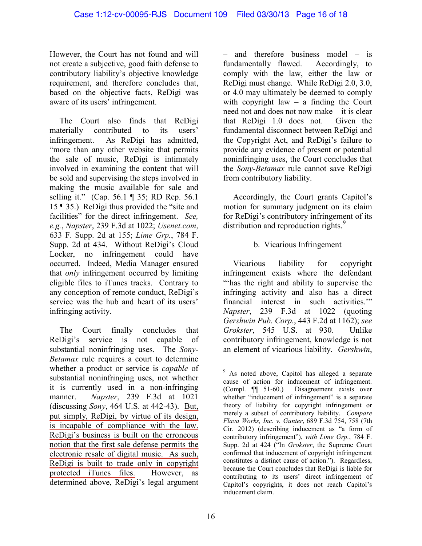However, the Court has not found and will not create a subjective, good faith defense to contributory liability's objective knowledge requirement, and therefore concludes that, based on the objective facts, ReDigi was aware of its users' infringement.

The Court also finds that ReDigi materially contributed to its users' infringement. As ReDigi has admitted, "more than any other website that permits the sale of music, ReDigi is intimately involved in examining the content that will be sold and supervising the steps involved in making the music available for sale and selling it." (Cap. 56.1 ¶ 35; RD Rep. 56.1 15 ¶ 35.) ReDigi thus provided the "site and facilities" for the direct infringement. *See, e.g.*, *Napster*, 239 F.3d at 1022; *Usenet.com*, 633 F. Supp. 2d at 155; *Lime Grp.*, 784 F. Supp. 2d at 434. Without ReDigi's Cloud Locker, no infringement could have occurred. Indeed, Media Manager ensured that *only* infringement occurred by limiting eligible files to iTunes tracks. Contrary to any conception of remote conduct, ReDigi's service was the hub and heart of its users' infringing activity.

<span id="page-15-0"></span>The Court finally concludes that ReDigi's service is not capable of substantial noninfringing uses. The *Sony-Betamax* rule requires a court to determine whether a product or service is *capable* of substantial noninfringing uses, not whether it is currently used in a non-infringing manner. *Napster*, 239 F.3d at 1021 (discussing *Sony*, 464 U.S. at 442-43). But, put simply, ReDigi, by virtue of its design, is incapable of compliance with the law. ReDigi's business is built on the erroneous notion that the first sale defense permits the electronic resale of digital music. As such, ReDigi is built to trade only in copyright protected iTunes files. However, as determined above, ReDigi's legal argument

– and therefore business model – is fundamentally flawed. Accordingly, to comply with the law, either the law or ReDigi must change. While ReDigi 2.0, 3.0, or 4.0 may ultimately be deemed to comply with copyright law – a finding the Court need not and does not now make – it is clear that ReDigi 1.0 does not. Given the fundamental disconnect between ReDigi and the Copyright Act, and ReDigi's failure to provide any evidence of present or potential noninfringing uses, the Court concludes that the *Sony-Betamax* rule cannot save ReDigi from contributory liability.

Accordingly, the Court grants Capitol's motion for summary judgment on its claim for ReDigi's contributory infringement of its distribution and reproduction rights.<sup>[9](#page-15-0)</sup>

# b. Vicarious Infringement

Vicarious liability for copyright infringement exists where the defendant "'has the right and ability to supervise the infringing activity and also has a direct financial interest in such activities.'" *Napster*, 239 F.3d at 1022 (quoting *Gershwin Pub. Corp.*, 443 F.2d at 1162); *see Grokster*, 545 U.S. at 930. Unlike contributory infringement, knowledge is not an element of vicarious liability. *Gershwin*,

<sup>&</sup>lt;sup>9</sup> As noted above, Capitol has alleged a separate cause of action for inducement of infringement. (Compl. ¶¶ 51-60.) Disagreement exists over whether "inducement of infringement" is a separate theory of liability for copyright infringement or merely a subset of contributory liability. *Compare Flava Works, Inc. v. Gunter*, 689 F.3d 754, 758 (7th Cir. 2012) (describing inducement as "a form of contributory infringement"), *with Lime Grp.*, 784 F. Supp. 2d at 424 ("In *Grokster*, the Supreme Court confirmed that inducement of copyright infringement constitutes a distinct cause of action."). Regardless, because the Court concludes that ReDigi is liable for contributing to its users' direct infringement of Capitol's copyrights, it does not reach Capitol's inducement claim.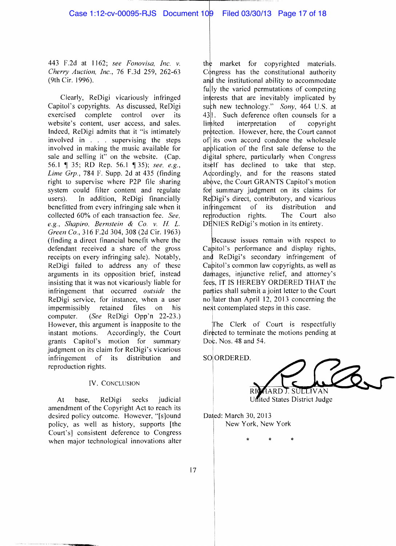443 F.2d at 1162; *see Fonovisa*, *Inc. v. Cherry Auction, Inc.,* 76 F.3d 259, 262-63 (9th Cir. 1996).

Clearly, ReDigi vicariously infringed Capitol's copyrights. As discussed, ReDigi exercised complete control over its website's content, user access, and sales. Indeed, ReDigi admits that it "is intimately involved in . . . supervising the steps involved in making the music available for sale and selling it" on the website.  $(Cap.$ 56.1 35; RD Rep. 56.1 '135); *see, e.g., Lime Grp.,* 784 F. Supp. 2d at 435 (finding right to supervise where P2P file sharing system could filter content and regulate users). In addition, ReDigi financially benefitted from every infringing sale when it collected 60% of each transaction fee. *See, e.g., Shapiro, Bernstein* & *Co. v. Ii L. Green Co.,* 316 F.2d 304, 308 (2d Cir. 1963) (finding a direct financial benefit where the defendant received a share of the gross receipts on every infringing sale). Notably, ReDigi failed to address any of these arguments in its opposition brief, instead insisting that it was not vicariously liable for infringement that occurred *outside* the ReDigi service, for instance, when a user impermissibly retained files on his computer. *(See* ReDigi Opp'n 22-23.) However, this argument is inapposite to the instant motions. Accordingly, the Court Accordingly, the Court grants Capitol's motion for summary judgment on its claim for ReDigi's vicarious infringement of its distribution and reproduction rights.

#### IV. CONCLUSION

At base, ReDigi seeks judicial amendment of the Copyright Act to reach its desired policy outcome. However, "[s]ound policy, as well as history, supports [the Court's] consistent deference to Congress when major technological innovations alter

market for copyrighted materials.  $C_{\phi}$ ngress has the constitutional authority and the institutional ability to accommodate fully the varied permutations of competing interests that are inevitably implicated by such new technology." *Sony*, 464 U.S. at  $43$ <sup>[1]</sup>. Such deference often counsels for a limited interpretation of convright interpretation protection. However, here, the Court cannot of its own accord condone the wholesale application of the first sale defense to the digital sphere, particularly when Congress itself has declined to take that step. A dcordingly, and for the reasons stated above, the Court GRANTS Capitol's motion for summary judgment on its claims for ReDigi's direct, contributory, and vicarious<br>infringement of its distribution and infringement of its distribution<br>reproduction rights. The Court The Court also DENIES ReDigi's motion in its entirety.

Because issues remain with respect to Capitol's performance and display rights, and ReDigi's secondary infringement of Cabitol's common law copyrights, as well as damages, injunctive relief, and attorney's fees. IT IS HEREBY ORDERED THAT the parties shall submit a joint letter to the Court no later than April 12,2013 concerning the next contemplated steps in this case.

The Clerk of Court is respectfully directed to terminate the motions pending at<br>Doc. Nos. 48 and 54.

SO ORDERED.

IARDT. SULLIVAN United States District Judge

Dated: March 30, 2013 New York, New York

\* \* \*